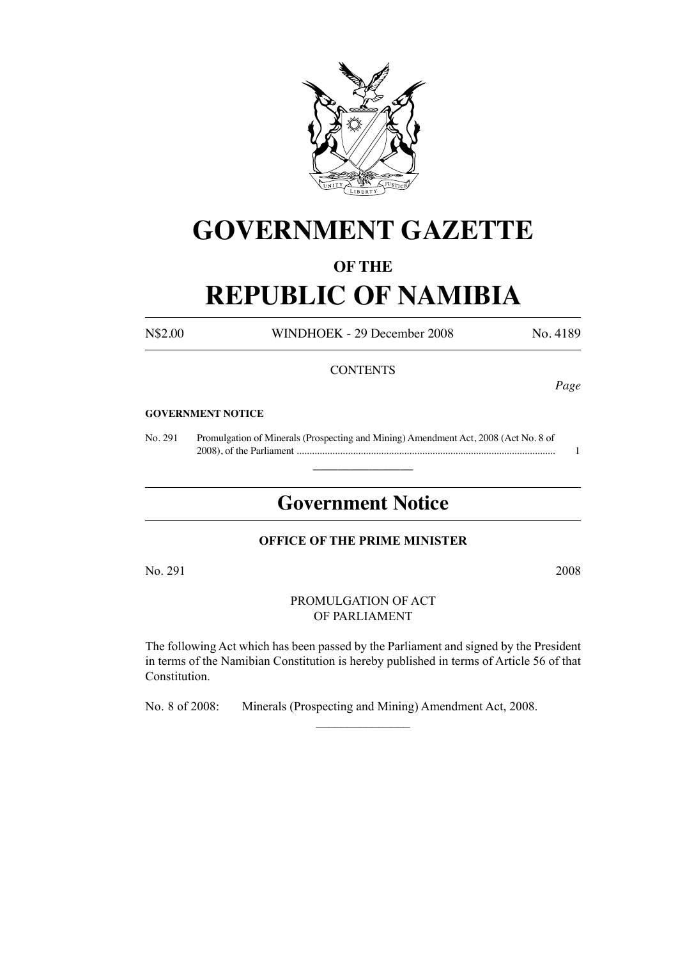

# **GOVERNMENT GAZETTE**

### **OF THE**

# **REPUBLIC OF NAMIBIA**

N\$2.00 WINDHOEK - 29 December 2008 No. 4189

*Page*

#### **CONTENTS**

#### **GOVERNMENT NOTICE**

No. 291 Promulgation of Minerals (Prospecting and Mining) Amendment Act, 2008 (Act No. 8 of 2008), of the Parliament ..................................................................................................... 1

## **Government Notice**

 $\overline{\phantom{a}}$  , where  $\overline{\phantom{a}}$ 

#### **OFFICE OF THE PRIME MINISTER**

No. 291 2008

PROMULGATION OF ACT OF PARLIAMENT

The following Act which has been passed by the Parliament and signed by the President in terms of the Namibian Constitution is hereby published in terms of Article 56 of that Constitution.

 $\overline{\phantom{a}}$  , where  $\overline{\phantom{a}}$ 

No. 8 of 2008: Minerals (Prospecting and Mining) Amendment Act, 2008.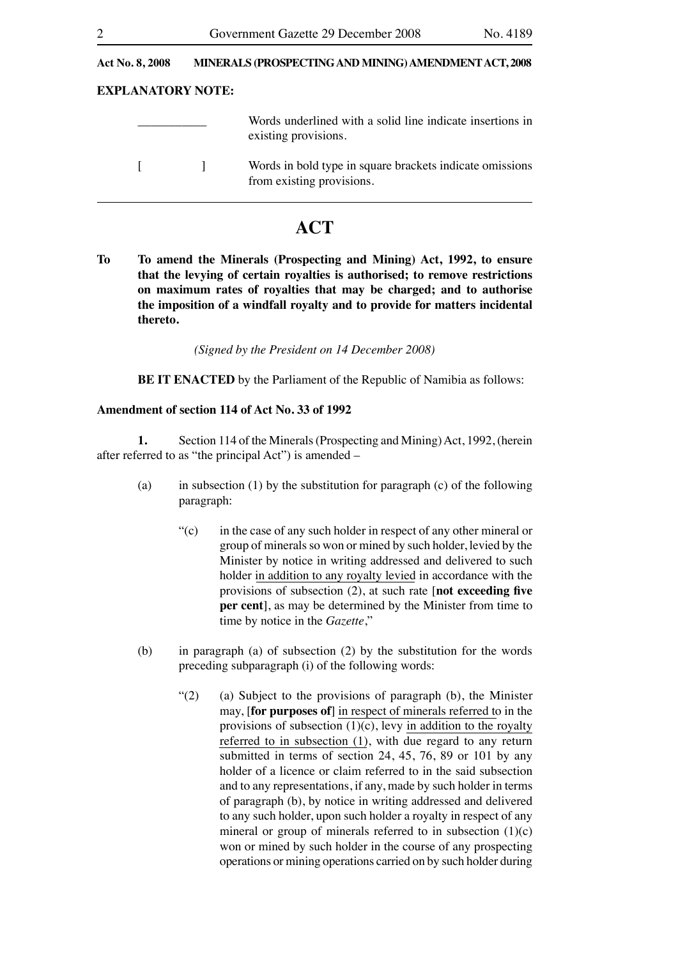#### **Act No. 8, 2008 MINERALS (PROSPECTING AND MINING) AMENDMENT ACT, 2008**

#### **EXPLANATORY NOTE:**

|  | Words underlined with a solid line indicate insertions in<br>existing provisions. |
|--|-----------------------------------------------------------------------------------|
|  | Words in bold type in square brackets indicate omissions                          |

### **ACT**

from existing provisions.

**To To amend the Minerals (Prospecting and Mining) Act, 1992, to ensure that the levying of certain royalties is authorised; to remove restrictions on maximum rates of royalties that may be charged; and to authorise the imposition of a windfall royalty and to provide for matters incidental thereto.** 

*(Signed by the President on 14 December 2008)*

**BE IT ENACTED** by the Parliament of the Republic of Namibia as follows:

#### **Amendment of section 114 of Act No. 33 of 1992**

**1.** Section 114 of the Minerals (Prospecting and Mining) Act, 1992, (herein after referred to as "the principal Act") is amended –

- (a) in subsection (1) by the substitution for paragraph (c) of the following paragraph:
	- $\mathcal{L}(\mathbf{c})$  in the case of any such holder in respect of any other mineral or group of minerals so won or mined by such holder, levied by the Minister by notice in writing addressed and delivered to such holder in addition to any royalty levied in accordance with the provisions of subsection (2), at such rate [**not exceeding five per cent**], as may be determined by the Minister from time to time by notice in the *Gazette*,"
- (b) in paragraph (a) of subsection (2) by the substitution for the words preceding subparagraph (i) of the following words:
	- "(2) (a) Subject to the provisions of paragraph (b), the Minister may, [**for purposes of**] in respect of minerals referred to in the provisions of subsection  $(1)(c)$ , levy in addition to the royalty referred to in subsection (1), with due regard to any return submitted in terms of section 24, 45, 76, 89 or 101 by any holder of a licence or claim referred to in the said subsection and to any representations, if any, made by such holder in terms of paragraph (b), by notice in writing addressed and delivered to any such holder, upon such holder a royalty in respect of any mineral or group of minerals referred to in subsection  $(1)(c)$ won or mined by such holder in the course of any prospecting operations or mining operations carried on by such holder during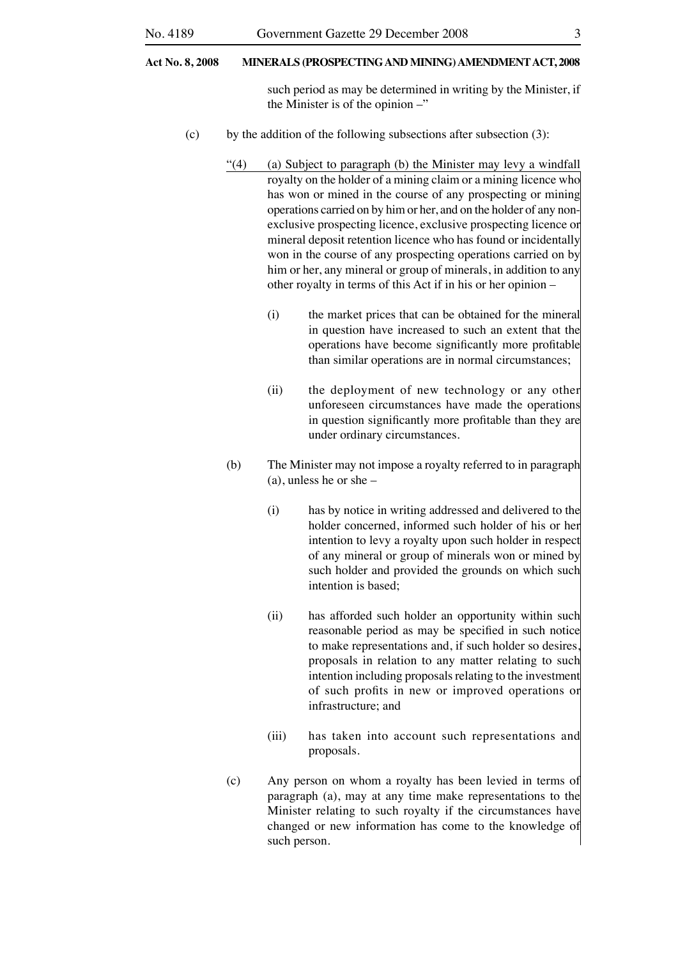#### **Act No. 8, 2008 MINERALS (PROSPECTING AND MINING) AMENDMENT ACT, 2008**

such period as may be determined in writing by the Minister, if the Minister is of the opinion –"

- (c) by the addition of the following subsections after subsection  $(3)$ :
	- "(4) (a) Subject to paragraph (b) the Minister may levy a windfall royalty on the holder of a mining claim or a mining licence who has won or mined in the course of any prospecting or mining operations carried on by him or her, and on the holder of any nonexclusive prospecting licence, exclusive prospecting licence or mineral deposit retention licence who has found or incidentally won in the course of any prospecting operations carried on by him or her, any mineral or group of minerals, in addition to any other royalty in terms of this Act if in his or her opinion –
		- (i) the market prices that can be obtained for the mineral in question have increased to such an extent that the operations have become significantly more profitable than similar operations are in normal circumstances;
		- (ii) the deployment of new technology or any other unforeseen circumstances have made the operations in question significantly more profitable than they are under ordinary circumstances.
	- (b) The Minister may not impose a royalty referred to in paragraph (a), unless he or she –
		- (i) has by notice in writing addressed and delivered to the holder concerned, informed such holder of his or her intention to levy a royalty upon such holder in respect of any mineral or group of minerals won or mined by such holder and provided the grounds on which such intention is based;
		- (ii) has afforded such holder an opportunity within such reasonable period as may be specified in such notice to make representations and, if such holder so desires proposals in relation to any matter relating to such intention including proposals relating to the investment of such profits in new or improved operations or infrastructure; and
		- (iii) has taken into account such representations and proposals.
	- (c) Any person on whom a royalty has been levied in terms of paragraph (a), may at any time make representations to the Minister relating to such royalty if the circumstances have changed or new information has come to the knowledge of such person.